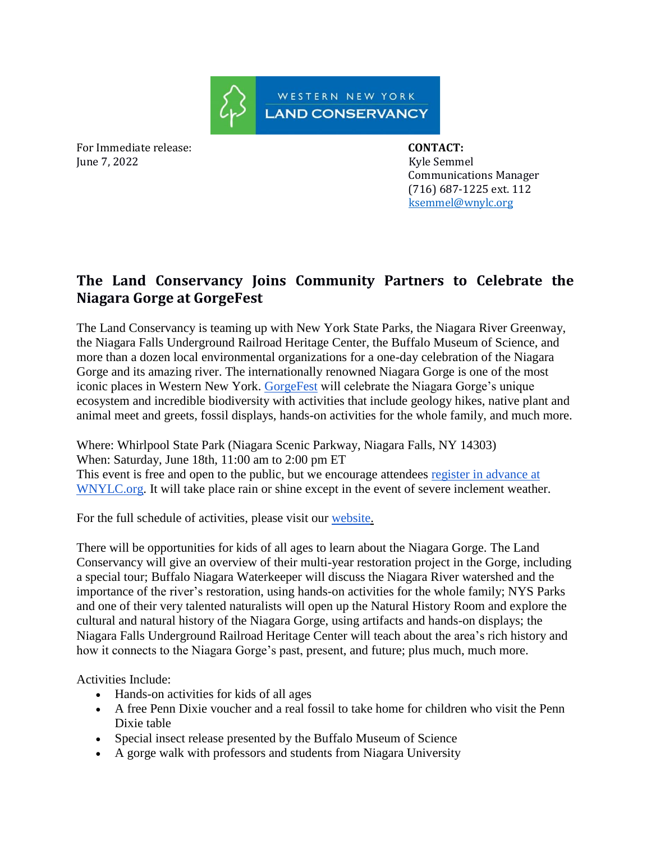

For Immediate release: **CONTACT:**  June 7, 2022 Kyle Semmel

 Communications Manager (716) 687-1225 ext. 112 [ksemmel@wnylc.org](mailto:ksemmel@wnylc.org)

## **The Land Conservancy Joins Community Partners to Celebrate the Niagara Gorge at GorgeFest**

The Land Conservancy is teaming up with New York State Parks, the Niagara River Greenway, the Niagara Falls Underground Railroad Heritage Center, the Buffalo Museum of Science, and more than a dozen local environmental organizations for a one-day celebration of the Niagara Gorge and its amazing river. The internationally renowned Niagara Gorge is one of the most iconic places in Western New York. [GorgeFest](https://www.wnylc.org/gorgefest) will celebrate the Niagara Gorge's unique ecosystem and incredible biodiversity with activities that include geology hikes, native plant and animal meet and greets, fossil displays, hands-on activities for the whole family, and much more.

Where: Whirlpool State Park (Niagara Scenic Parkway, Niagara Falls, NY 14303) When: Saturday, June 18th, 11:00 am to 2:00 pm ET This event is free and open to the public, but we encourage attendees [register in advance at](https://www.wnylc.org/gorgefest)  [WNYLC.org.](https://www.wnylc.org/gorgefest) It will take place rain or shine except in the event of severe inclement weather.

For the full schedule of activities, please visit our [website.](https://www.wnylc.org/_files/ugd/34ab6e_f45c23c0729a47f09d23104c2e4a6d0e.pdf)

There will be opportunities for kids of all ages to learn about the Niagara Gorge. The Land Conservancy will give an overview of their multi-year restoration project in the Gorge, including a special tour; Buffalo Niagara Waterkeeper will discuss the Niagara River watershed and the importance of the river's restoration, using hands-on activities for the whole family; NYS Parks and one of their very talented naturalists will open up the Natural History Room and explore the cultural and natural history of the Niagara Gorge, using artifacts and hands-on displays; the Niagara Falls Underground Railroad Heritage Center will teach about the area's rich history and how it connects to the Niagara Gorge's past, present, and future; plus much, much more.

Activities Include:

- Hands-on activities for kids of all ages
- A free Penn Dixie voucher and a real fossil to take home for children who visit the Penn Dixie table
- Special insect release presented by the Buffalo Museum of Science
- A gorge walk with professors and students from Niagara University